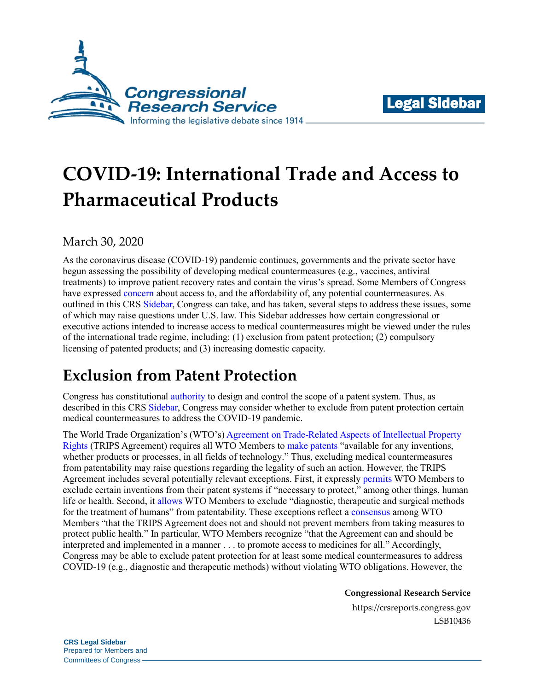



# **COVID-19: International Trade and Access to Pharmaceutical Products**

### March 30, 2020

As the coronavirus disease (COVID-19) pandemic continues, governments and the private sector have begun assessing the possibility of developing medical countermeasures (e.g., vaccines, antiviral treatments) to improve patient recovery rates and contain the virus's spread. Some Members of Congress have expressed [concern](https://thehill.com/policy/healthcare/483888-house-democrats-ask-trump-to-ensure-affordability-of-future-coronavirus) about access to, and the affordability of, any potential countermeasures. As outlined in this CRS [Sidebar,](https://crsreports.congress.gov/product/pdf/LSB/LSB10422) Congress can take, and has taken, several steps to address these issues, some of which may raise questions under U.S. law. This Sidebar addresses how certain congressional or executive actions intended to increase access to medical countermeasures might be viewed under the rules of the international trade regime, including: (1) exclusion from patent protection; (2) compulsory licensing of patented products; and (3) increasing domestic capacity.

## **Exclusion from Patent Protection**

Congress has constitutiona[l authority](https://constitution.congress.gov/browse/essay/artI_S8_C8_1_1/) to design and control the scope of a patent system. Thus, as described in this CRS [Sidebar,](https://crsreports.congress.gov/product/pdf/LSB/LSB10422) Congress may consider whether to exclude from patent protection certain medical countermeasures to address the COVID-19 pandemic.

The World Trade Organization's (WTO's) [Agreement on Trade-Related Aspects of Intellectual Property](https://www.wto.org/english/docs_e/legal_e/31bis_trips_01_e.htm)  [Rights](https://www.wto.org/english/docs_e/legal_e/31bis_trips_01_e.htm) (TRIPS Agreement) requires all WTO Members to [make patents](https://www.wto.org/english/docs_e/legal_e/31bis_trips_04c_e.htm#5) "available for any inventions, whether products or processes, in all fields of technology." Thus, excluding medical countermeasures from patentability may raise questions regarding the legality of such an action. However, the TRIPS Agreement includes several potentially relevant exceptions. First, it expressly [permits](https://www.wto.org/english/docs_e/legal_e/31bis_trips_04c_e.htm#5) WTO Members to exclude certain inventions from their patent systems if "necessary to protect," among other things, human life or health. Second, it [allows](https://www.wto.org/english/docs_e/legal_e/31bis_trips_04c_e.htm#5) WTO Members to exclude "diagnostic, therapeutic and surgical methods for the treatment of humans" from patentability. These exceptions reflect a [consensus](https://www.wto.org/english/thewto_e/minist_e/min01_e/mindecl_trips_e.htm) among WTO Members "that the TRIPS Agreement does not and should not prevent members from taking measures to protect public health." In particular, WTO Members recognize "that the Agreement can and should be interpreted and implemented in a manner . . . to promote access to medicines for all." Accordingly, Congress may be able to exclude patent protection for at least some medical countermeasures to address COVID-19 (e.g., diagnostic and therapeutic methods) without violating WTO obligations. However, the

**Congressional Research Service**

https://crsreports.congress.gov LSB10436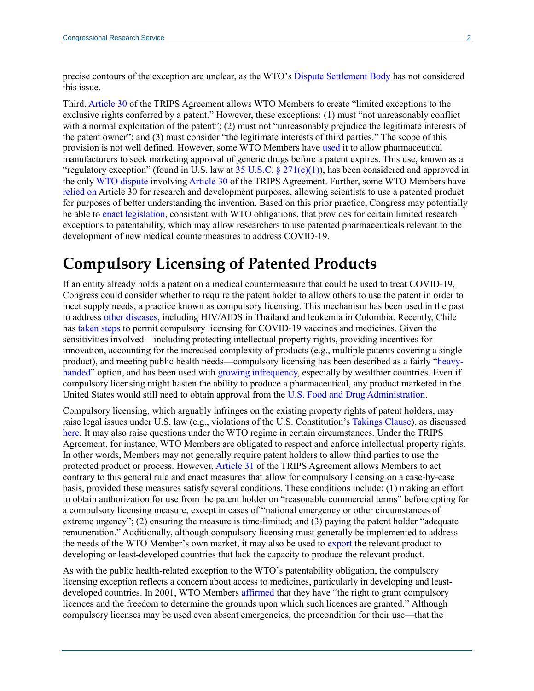precise contours of the exception are unclear, as the WTO's [Dispute Settlement Body](https://www.wto.org/english/tratop_e/dispu_e/dispu_body_e.htm) has not considered this issue.

Third[, Article 30](https://www.wto.org/english/docs_e/legal_e/31bis_trips_04c_e.htm#5) of the TRIPS Agreement allows WTO Members to create "limited exceptions to the exclusive rights conferred by a patent." However, these exceptions: (1) must "not unreasonably conflict with a normal exploitation of the patent"; (2) must not "unreasonably prejudice the legitimate interests of the patent owner"; and (3) must consider "the legitimate interests of third parties." The scope of this provision is not well defined. However, some WTO Members have [used](https://www.wto.org/english/tratop_e/trips_e/factsheet_pharm02_e.htm) it to allow pharmaceutical manufacturers to seek marketing approval of generic drugs before a patent expires. This use, known as a "regulatory exception" (found in U.S. law at [35 U.S.C. §](https://uscode.house.gov/view.xhtml?req=granuleid:USC-prelim-title35-section271&num=0&edition=prelim) 271(e)(1)), has been considered and approved in the only [WTO dispute](https://www.wto.org/english/tratop_e/dispu_e/cases_e/ds114_e.htm) involving [Article 30](https://www.wto.org/english/docs_e/legal_e/27-trips_04c_e.htm) of the TRIPS Agreement. Further, some WTO Members have [relied on](https://www.wto.org/english/tratop_e/trips_e/factsheet_pharm02_e.htm) Article 30 for research and development purposes, allowing scientists to use a patented product for purposes of better understanding the invention. Based on this prior practice, Congress may potentially be able to [enact legislation,](http://www.oecd.org/science/inno/36311146.pdf#=11) consistent with WTO obligations, that provides for certain limited research exceptions to patentability, which may allow researchers to use patented pharmaceuticals relevant to the development of new medical countermeasures to address COVID-19.

### **Compulsory Licensing of Patented Products**

If an entity already holds a patent on a medical countermeasure that could be used to treat COVID-19, Congress could consider whether to require the patent holder to allow others to use the patent in order to meet supply needs, a practice known as compulsory licensing. This mechanism has been used in the past to address [other diseases,](https://medium.com/health-for-all/heading-off-global-action-on-access-to-medicines-in-2018-bfe1b17bb4f9#_edn6) including HIV/AIDS in Thailand and leukemia in Colombia. Recently, Chile has [taken steps](https://www.statnews.com/pharmalot/2020/03/18/chile-compulsory-licensing-coronavirus-covid19-vaccines/) to permit compulsory licensing for COVID-19 vaccines and medicines. Given the sensitivities involved—including protecting intellectual property rights, providing incentives for innovation, accounting for the increased complexity of products (e.g., multiple patents covering a single product), and meeting public health needs—compulsory licensing has been described as a fairly ["heavy](https://www.biospace.com/article/china-s-wuhan-institute-files-to-patent-the-use-of-gilead-s-remdesivir-for-coronavirus/)[handed"](https://www.biospace.com/article/china-s-wuhan-institute-files-to-patent-the-use-of-gilead-s-remdesivir-for-coronavirus/) option, and has been used with [growing infrequency,](https://medium.com/health-for-all/heading-off-global-action-on-access-to-medicines-in-2018-bfe1b17bb4f9#_edn6) especially by wealthier countries. Even if compulsory licensing might hasten the ability to produce a pharmaceutical, any product marketed in the United States would still need to obtain approval from the [U.S. Food and Drug Administration.](https://crsreports.congress.gov/product/pdf/R/R41983)

Compulsory licensing, which arguably infringes on the existing property rights of patent holders, may raise legal issues under U.S. law (e.g., violations of the U.S. Constitution's [Takings Clause\)](https://constitution.congress.gov/constitution/amendment-5/), as discussed [here.](https://crsreports.congress.gov/product/pdf/LSB/LSB10422) It may also raise questions under the WTO regime in certain circumstances. Under the TRIPS Agreement, for instance, WTO Members are obligated to respect and enforce intellectual property rights. In other words, Members may not generally require patent holders to allow third parties to use the protected product or process. However[, Article 31](https://www.wto.org/english/docs_e/legal_e/31bis_trips_04c_e.htm#5) of the TRIPS Agreement allows Members to act contrary to this general rule and enact measures that allow for compulsory licensing on a case-by-case basis, provided these measures satisfy several conditions. These conditions include: (1) making an effort to obtain authorization for use from the patent holder on "reasonable commercial terms" before opting for a compulsory licensing measure, except in cases of "national emergency or other circumstances of extreme urgency"; (2) ensuring the measure is time-limited; and (3) paying the patent holder "adequate remuneration." Additionally, although compulsory licensing must generally be implemented to address the needs of the WTO Member's own market, it may also be used to [export](https://www.wto.org/english/tratop_e/trips_e/wtl641_e.htm) the relevant product to developing or least-developed countries that lack the capacity to produce the relevant product.

As with the public health-related exception to the WTO's patentability obligation, the compulsory licensing exception reflects a concern about access to medicines, particularly in developing and leastdeveloped countries. In 2001, WTO Members [affirmed](https://www.wto.org/english/thewto_e/minist_e/min01_e/mindecl_trips_e.htm) that they have "the right to grant compulsory licences and the freedom to determine the grounds upon which such licences are granted." Although compulsory licenses may be used even absent emergencies, the precondition for their use—that the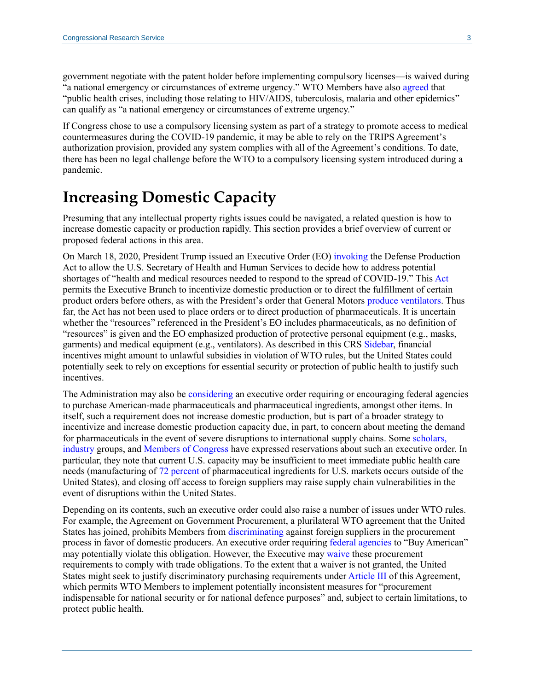government negotiate with the patent holder before implementing compulsory licenses—is waived during "a national emergency or circumstances of extreme urgency." WTO Members have also [agreed](https://www.wto.org/english/thewto_e/minist_e/min01_e/mindecl_trips_e.htm) that "public health crises, including those relating to HIV/AIDS, tuberculosis, malaria and other epidemics" can qualify as "a national emergency or circumstances of extreme urgency."

If Congress chose to use a compulsory licensing system as part of a strategy to promote access to medical countermeasures during the COVID-19 pandemic, it may be able to rely on the TRIPS Agreement's authorization provision, provided any system complies with all of the Agreement's conditions. To date, there has been no legal challenge before the WTO to a compulsory licensing system introduced during a pandemic.

### **Increasing Domestic Capacity**

Presuming that any intellectual property rights issues could be navigated, a related question is how to increase domestic capacity or production rapidly. This section provides a brief overview of current or proposed federal actions in this area.

On March 18, 2020, President Trump issued an Executive Order (EO[\) invoking](https://www.whitehouse.gov/presidential-actions/executive-order-prioritizing-allocating-health-medical-resources-respond-spread-covid-19/) the Defense Production Act to allow the U.S. Secretary of Health and Human Services to decide how to address potential shortages of "health and medical resources needed to respond to the spread of COVID-19." Thi[s Act](https://crsreports.congress.gov/product/pdf/R/R43767) permits the Executive Branch to incentivize domestic production or to direct the fulfillment of certain product orders before others, as with the President's order that General Motors [produce ventilators.](https://www.politico.com/news/2020/03/27/trump-slams-gm-over-ventilator-production-delays-costs-151885) Thus far, the Act has not been used to place orders or to direct production of pharmaceuticals. It is uncertain whether the "resources" referenced in the President's EO includes pharmaceuticals, as no definition of "resources" is given and the EO emphasized production of protective personal equipment (e.g., masks, garments) and medical equipment (e.g., ventilators). As described in this CRS [Sidebar,](https://crsreports.congress.gov/product/pdf/LSB/LSB10424) financial incentives might amount to unlawful subsidies in violation of WTO rules, but the United States could potentially seek to rely on exceptions for essential security or protection of public health to justify such incentives.

The Administration may also be [considering](https://www.cbsnews.com/news/peter-navarro-pitches-executive-action-to-reduce-dependence-on-medicine-made-abroad/) an executive order requiring or encouraging federal agencies to purchase American-made pharmaceuticals and pharmaceutical ingredients, amongst other items. In itself, such a requirement does not increase domestic production, but is part of a broader strategy to incentivize and increase domestic production capacity due, in part, to concern about meeting the demand for pharmaceuticals in the event of severe disruptions to international supply chains. Some [scholars,](https://www.cbsnews.com/news/peter-navarro-pitches-executive-action-to-reduce-dependence-on-medicine-made-abroad/) [industry](https://www.cnbc.com/2020/03/19/coronavirus-trump-aide-peter-navarro-slams-big-pharma.html) groups, and [Members of Congress](https://www.finance.senate.gov/imo/media/doc/2020-03-25%20CEG,%20SFC%20Republicans%20to%20Donald%20J.%20Trump%20(Trade%20Measures%20during%20COVID-19).pdf) have expressed reservations about such an executive order. In particular, they note that current U.S. capacity may be insufficient to meet immediate public health care needs (manufacturing of [72 percent](https://www.dcatvci.org/6213-global-api-sourcing-which-countries-lead) of pharmaceutical ingredients for U.S. markets occurs outside of the United States), and closing off access to foreign suppliers may raise supply chain vulnerabilities in the event of disruptions within the United States.

Depending on its contents, such an executive order could also raise a number of issues under WTO rules. For example, the Agreement on Government Procurement, a plurilateral WTO agreement that the United States has joined, prohibits Members fro[m discriminating](https://www.wto.org/english/docs_e/legal_e/rev-gpr-94_01_e.htm#articleIV) against foreign suppliers in the procurement process in favor of domestic producers. An executive order requiring [federal agencies](https://crsreports.congress.gov/product/pdf/LSB/LSB10428) to "Buy American" may potentially violate this obligation. However, the Executive may [waive](https://uscode.house.gov/view.xhtml?req=granuleid:USC-prelim-title19-section2511&num=0&edition=prelim) these procurement requirements to comply with trade obligations. To the extent that a waiver is not granted, the United States might seek to justify discriminatory purchasing requirements unde[r Article III](https://www.wto.org/english/docs_e/legal_e/rev-gpr-94_01_e.htm#articleIII) of this Agreement, which permits WTO Members to implement potentially inconsistent measures for "procurement indispensable for national security or for national defence purposes" and, subject to certain limitations, to protect public health.